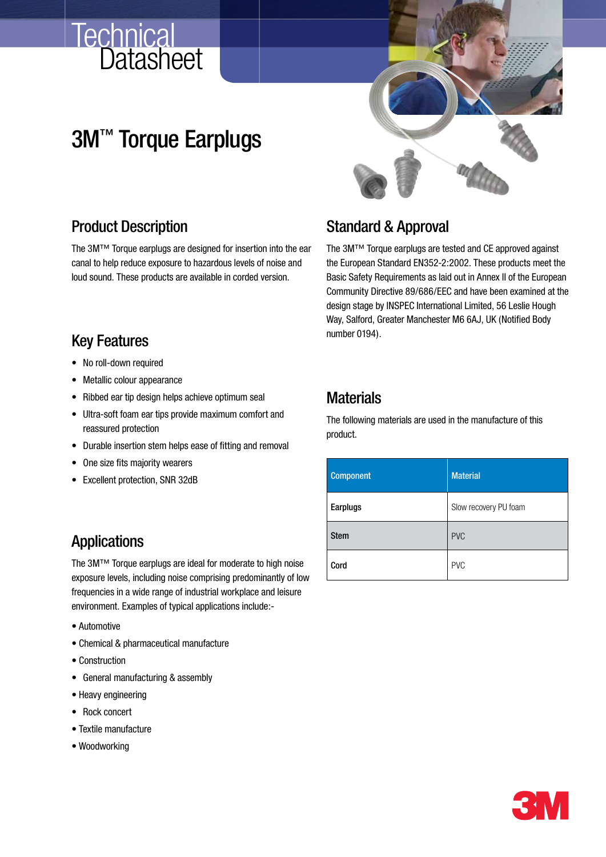## **Datasheet Technical**

# 3M™ Torque Earplugs



### Product Description

The 3M™ Torque earplugs are designed for insertion into the ear canal to help reduce exposure to hazardous levels of noise and loud sound. These products are available in corded version.

### Key Features

- No roll-down required
- • Metallic colour appearance
- Ribbed ear tip design helps achieve optimum seal
- • Ultra-soft foam ear tips provide maximum comfort and reassured protection
- Durable insertion stem helps ease of fitting and removal
- One size fits majority wearers
- Excellent protection, SNR 32dB

## **Applications**

The 3M™ Torque earplugs are ideal for moderate to high noise exposure levels, including noise comprising predominantly of low frequencies in a wide range of industrial workplace and leisure environment. Examples of typical applications include:-

- Automotive
- Chemical & pharmaceutical manufacture
- Construction
- • General manufacturing & assembly
- Heavy engineering
- • Rock concert
- Textile manufacture
- Woodworking

## Standard & Approval

The 3M™ Torque earplugs are tested and CE approved against the European Standard EN352-2:2002. These products meet the Basic Safety Requirements as laid out in Annex II of the European Community Directive 89/686/EEC and have been examined at the design stage by INSPEC International Limited, 56 Leslie Hough Way, Salford, Greater Manchester M6 6AJ, UK (Notified Body number 0194).

## **Materials**

The following materials are used in the manufacture of this product.

| <b>Component</b> | <b>Material</b>       |  |  |  |
|------------------|-----------------------|--|--|--|
| Earplugs         | Slow recovery PU foam |  |  |  |
| <b>Stem</b>      | <b>PVC</b>            |  |  |  |
| Cord             | <b>PVC</b>            |  |  |  |